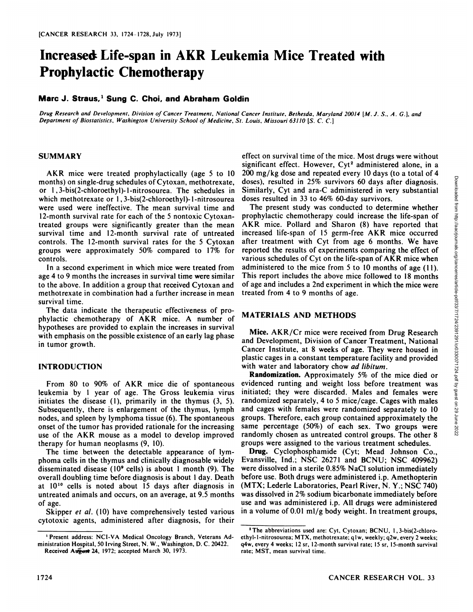# **Increased Life-span in AKR Leukemia Mice Treated with Prophylactic Chemotherapy**

# **Marc J. Straus,1 Sung C. Choi, and Abraham Goldin**

Drug Research and Development, Division of Cancer Treatment, National Cancer Institute, Bethesda, Maryland 20014 [M. J. S., A. G.], and *Department of Biostatislics, Washington University School of Medicine, St. Louis, Missouri 63110 [S.C. C.]*

#### **SUMMARY**

AKR mice were treated prophylactically (age 5 to 10 months) on single-drug schedules of Cytoxan, methotrexate, or 1,3-bis(2-chloroethyl)-l-nitrosourea. The schedules in which methotrexate or 1, 3-bis(2-chloroethyl)-1-nitrosourea were used were ineffective. The mean survival time and 12-month survival rate for each of the 5 nontoxic Cytoxantreated groups were significantly greater than the mean survival time and 12-month survival rate of untreated controls. The 12-month survival rates for the 5 Cytoxan groups were approximately 50% compared to 17% for controls.

In a second experiment in which mice were treated from age 4 to 9 months the increases in survival time were similar to the above. In addition a group that received Cytoxan and methotrexate in combination had a further increase in mean survival time.

The data indicate the therapeutic effectiveness of pro phylactic chemotherapy of AKR mice. A number of hypotheses are provided to explain the increases in survival with emphasis on the possible existence of an early lag phase in tumor growth.

#### **INTRODUCTION**

From 80 to 90% of AKR mice die of spontaneous leukemia by 1 year of age. The Gross leukemia virus initiates the disease (1), primarily in the thymus (3, 5). Subsequently, there is enlargement of the thymus, lymph nodes, and spleen by lymphoma tissue (6). The spontaneous onset of the tumor has provided rationale for the increasing use of the AKR mouse as a model to develop improved therapy for human neoplasms (9, 10).

The time between the detectable appearance of lym phoma cells in the thymus and clinically diagnosable widely disseminated disease ( $10<sup>9</sup>$  cells) is about 1 month (9). The overall doubling time before diagnosis is about 1day. Death at  $10^{10}$  cells is noted about 15 days after diagnosis in untreated animals and occurs, on an average, at 9.5 months of age.

Skipper et al. (10) have comprehensively tested various cytotoxic agents, administered after diagnosis, for their effect on survival time of the mice. Most drugs were without significant effect. However, Cyt<sup>2</sup> administered alone, in a doses), resulted in 25% survivors 60 days after diagnosis. Similarly, Cyt and ara-C administered in very substantial doses resulted in 33 to 46% 60-day survivors.

200 mg/kg dose and repeated every 10 days (to a total of 4<br>
doses), resulted in 25% survivors 60 days after diagnosis.<br>
Similarly, Cyt and ara-C administered in very substantial<br>
doses resulted in 33 to 46% 60-day survivo The present study was conducted to determine whether prophylactic chemotherapy could increase the life-span of AKR mice. Pollard and Sharon (8) have reported that increased life-span of 15 germ-free AKR mice occurred after treatment with Cyt from age 6 months. We have reported the results of experiments comparing the effect of various schedules of Cyt on the life-span of AKR mice when administered to the mice from 5 to 10 months of age (11). This report includes the above mice followed to 18 months of age and includes a 2nd experiment in which the mice were treated from 4 to 9 months of age.

## **MATERIALS AND METHODS**

Mice. AKR/Cr mice were received from Drug Research and Development, Division of Cancer Treatment, National Cancer Institute, at 8 weeks of age. They were housed in plastic cages in a constant temperature facility and provided with water and laboratory chow ad libitum.

Randomization. Approximately 5% of the mice died or evidenced runting and weight loss before treatment was initiated; they were discarded. Males and females were randomized separately, 4 to 5 mice/cage. Cages with males and cages with females were randomized separately to 10 groups. Therefore, each group contained approximately the same percentage (50%) of each sex. Two groups were randomly chosen as untreated control groups. The other 8 groups were assigned to the various treatment schedules.

Drug. Cyclophosphamide (Cyt; Mead Johnson Co., Evansville, Ind.; NSC 26271 and BCNU; NSC 409962) were dissolved in a sterile 0.85% NaCl solution immediately before use. Both drugs were administered i.p. Amethopterin (MTX; Lederle Laboratories, Pearl River, N. Y.; NSC 740) was dissolved in 2% sodium bicarbonate immediately before use and was administered i.p. All drugs were administered in a volume of 0.01 ml/g body weight. In treatment groups,

<sup>&#</sup>x27; Present address: NCI-VA Medical Oncology Branch, Veterans Ad ministration Hospital, 50 Irving Street, N. W., Washington, D. C. 20422. Received August 24, 1972; accepted March 30, 1973.

<sup>&</sup>lt;sup>2</sup>The abbreviations used are: Cyt, Cytoxan; BCNU, 1, 3-bis(2-chloroethyl-1-nitrosourea; MTX, methotrexate; q 1w, weekly; q2w, every 2 weeks; q4w, every 4 weeks; 12 sr, 12-month survival rate; 15 sr, 15-month survival rate; MST, mean survival time.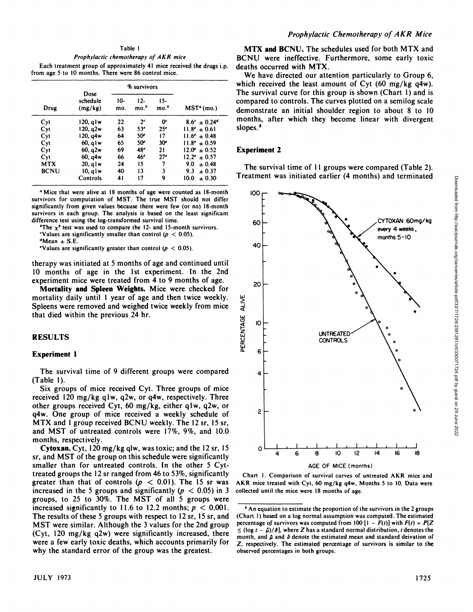#### Table I

*Prophylactic chemotherapy of AKR mice* Each treatment group of approximately 41 mice received the drugs i.p. from age 5 to 10 months. There were 86 control mice.

| Drug        | Dose<br>schedule<br>(mg/kg) | % survivors |                  |                  |                         |
|-------------|-----------------------------|-------------|------------------|------------------|-------------------------|
|             |                             | 10-<br>mo.  | $12-$<br>$mo.^b$ | $15-$<br>$mo.^b$ | MST <sup>a</sup> (mo.)  |
| Cyt         | 120. g I w                  | 22          | 2 <sup>c</sup>   | 0 <sup>c</sup>   | $8.6^c \pm 0.24^d$      |
| Cyt         | 120. a2w                    | 63          | 53 <sup>e</sup>  | 25 <sup>e</sup>  | $11.8^e \pm 0.61$       |
| Cyt         | 120. g4w                    | 64          | 50 <sup>e</sup>  | 17               | $11.6^e \pm 0.48$       |
| Cyt         | $60$ , alw                  | 65          | 50 <sup>e</sup>  | 30 <sup>o</sup>  | $11.8^e \pm 0.59$       |
| Cyt         | 60, q2w                     | 69          | 48 <sup>e</sup>  | 21               | $12.0^{\circ} \pm 0.52$ |
| Cyt         | 60, q4w                     | 66          | 46 <sup>e</sup>  | 27 <sup>e</sup>  | $12.2^e \pm 0.57$       |
| <b>MTX</b>  | $20$ , q $1w$               | 24          | 15               | 7                | 9.0<br>$\pm 0.48$       |
| <b>BCNU</b> | $10$ , alw                  | 40          | 13               | 3                | 9.3<br>$\pm 0.37$       |
|             | Controls                    | 41          | 17               | 9                | 10.0<br>± 0.30          |

<sup>a</sup> Mice that were alive at 18 months of age were counted as 18-month survivors for computation of MST. The true MST should not differ significantly from given values because there were few (or no) 18-month survivors in each group. The analysis is based on the least significant difference test using the log-transformed survival time.

"The  $x^2$  test was used to compare the 12- and 15-month survivors.

'Values are significantly smaller than control ( $p < 0.05$ ).

 $d$ Mean  $\pm$  S.E.

"Values are significantly greater than control ( $p < 0.05$ ).

therapy was initiated at 5 months of age and continued until 10 months of age in the 1st experiment. In the 2nd experiment mice were treated from 4 to 9 months of age.

**Mortality and Spleen Weights. Mice were checked for** mortality daily until 1 year of age and then twice weekly. Spleens were removed and weighed twice weekly from mice that died within the previous 24 hr.

# **RESULTS**

#### **Experiment 1**

The survival time of 9 different groups were compared (Table 1).

Six groups of mice received Cyt. Three groups of mice received 120 mg/kg qlw, q2w, or q4w, respectively. Three other groups received Cyt, 60 mg/kg, either qlw, q2w, or q4w. One group of mice received a weekly schedule of MTX and 1group received BCNU weekly.The 12 sr, 15 sr, and MST of untreated controls were 17%, 9%, and 10.0 months, respectively.

**Cytoxan. Cyt, 120 mg/kg qlw, was toxic; and the 12sr, 15** sr, and MST of the group on this schedule were significantly smaller than for untreated controls. In the other 5 Cyttreated groups the 12 sr ranged from 46 to 53%, significantly greater than that of controls  $(p < 0.01)$ . The 15 sr was increased in the 5 groups and significantly ( $p < 0.05$ ) in 3 groups, to 25 to 30%. The MST of all 5 groups were increased significantly to 11.6 to 12.2 months;  $p < 0.001$ . The results of these 5 groups with respect to 12 sr, 15 sr, and MST were similar. Although the 3 values for the 2nd group (Cyt, 120 mg/kg q2w) were significantly increased, there were a few early toxic deaths, which accounts primarily for why the standard error of the group was the greatest.

**MTX and BCNU. The schedules used for both MTX and** BCNU were ineffective. Furthermore, some early toxic deaths occurred with MTX.

slopes.<sup>3</sup> We have directed our attention particularly to Group 6, which received the least amount of Cyt (60 mg/kg q4w). The survival curve for this group is shown (Chart 1) and is compared to controls. The curves plotted on a semilog scale demonstrate an initial shoulder region to about 8 to 10 months, after which they become linear with divergent

#### **Experiment 2**

20, qlw 24 15 7 9.0  $\pm$  0.48 The survival time of 11 groups were compared (Table 2).



AGE OF MICE (months)

Chart 1. Comparison of survival curves of untreated AKR mice and AKR mice treated with Cyt, 60 mg/kg q4w. Months 5 to 10. Data were collected until the mice were 18 months of age.

<sup>&</sup>lt;sup>3</sup> An equation to estimate the proportion of the survivors in the 2 groups (Chart I) based on a log normal assumption was computed. The estimated percentage of survivors was computed from  $100$  [1 -  $F(t)$ ] with  $F(t) = P[Z]$  $\leq$  (log  $t - \hat{\mu}$ )/ $\hat{\sigma}$ ], where *Z* has a standard normal distribution, *t* denotes the month, and  $\hat{\mu}$  and  $\hat{\sigma}$  denote the estimated mean and standard deivation of Z, respectively. The estimated percentage of survivors is similar to the observed percentages in both groups.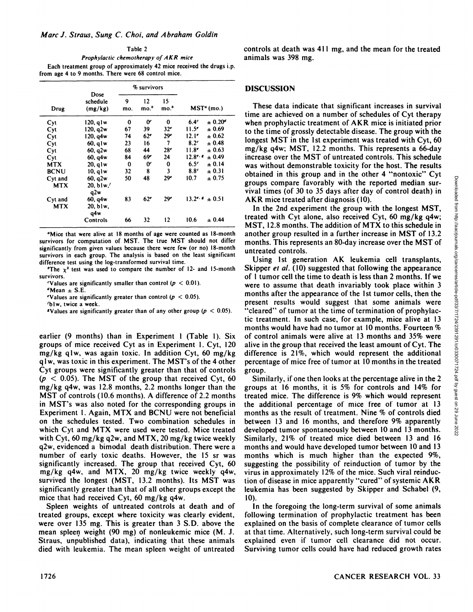Table 2 *Prophylactic chemotherapy of AKR mice* Each treatment group of approximately 42 mice received the drugs i.p. from age 4 to 9 months. There were 68 control mice.

|             |                             |          | % survivors     |                        |                                |
|-------------|-----------------------------|----------|-----------------|------------------------|--------------------------------|
| Drug        | Dose<br>schedule<br>(mg/kg) | 9<br>mo. | 12<br>$mo.^b$   | 15<br>mo. <sup>o</sup> | $MSTa$ (mo.)                   |
| Cyt         | 120. a 1 w                  | 0        | œ               | 0                      | $6.4^\circ$<br>$\pm 0.20^{4}$  |
| Cyt         | 120, q2w                    | 67       | 39              | 32 <sup>e</sup>        | 11.5 <sup>e</sup><br>± 0.69    |
| Cyt         | 120, q4w                    | 74       | 62°             | 29 <sup>e</sup>        | ± 0.62<br>12.1 <sup>e</sup>    |
| Cyt         | 60. a I w                   | 23       | 16              | 7                      | $\pm 0.48$<br>8.2 <sup>c</sup> |
| Cyt         | 60, q2w                     | 68       | 44              | 28 <sup>e</sup>        | $11.8^{\circ}$<br>± 0.63       |
| Cyt         | 60, q4w                     | 84       | 69e             | 24                     | $12.8$ e.<br>± 0.49            |
| <b>MTX</b>  | $20$ , q $1w$               | 0        | œ               | $\Omega$               | ± 0.14<br>6.5 <sup>c</sup>     |
| <b>BCNU</b> | $10$ , $q$ lw               | 32       | 8               | 3                      | 8.8 <sup>c</sup><br>$+0.31$    |
| Cyt and     | 60. a2w                     | 50       | 48              | 29 <sup>e</sup>        | 10.7<br>$+0.75$                |
| <b>MTX</b>  | 20, b1w'<br>q2w             |          |                 |                        |                                |
| Cyt and     | 60, q4w                     | 83       | 62 <sup>e</sup> | 29 <sup>e</sup>        | $13.2$<br>$+0.51$              |
| <b>MTX</b>  | 20, blw,<br>q4w             |          |                 |                        |                                |
|             | Controls                    | 66       | 32              | 12                     | 10.6<br>$\pm 0.44$             |

"Mice that were alive at 18 months of age were counted as 18-month survivors for computation of MST. The true MST should not differ significantly from given values because there were few (or no) 18-month survivors in each group. The analysis is based on the least significant difference test using the log-transformed survival time.

<sup>o</sup>The  $x^2$  test was used to compare the number of 12- and 15-month survivors.

Values are significantly smaller than control ( $p < 0.01$ ).

 $^d$ Mean  $\pm$  S.E.

Values are significantly greater than control ( $p < 0.05$ ).

'blw, twice a week.

**•Values are significantly greater than of any other group (** $p < 0.05$ **).** 

earlier (9 months) than in Experiment 1 (Table 1). Six groups of mice received Cyt as in Experiment 1. Cyt, 120 mg/kg qlw, was again toxic. In addition Cyt, <sup>60</sup> mg/kg qlw, was toxic in this experiment. The MST's of the <sup>4</sup> other Cyt groups were significantly greater than that of controls *(p < 0.05). The MST of the group that received Cyt, 60* mg/kg q4w, was 12.8 months, 2.2 months longer than the MST of controls (10.6 months). <sup>A</sup> difference of 2.2 months in MST's was also noted for the corresponding groups in Experiment 1. Again, MTX and BCNU were not beneficial on the schedules tested. Two combination schedules in which Cyt and MTX were used were tested. Mice treated with Cyt, 60 mg/kg q2w, and MTX, 20 mg/kg twice weekly q2w, evidenced a bimodal death distribution. There were a number of early toxic deaths. However, the 15 sr was significantly increased. The group that received Cyt, 60 mg/kg q4w, and MTX, 20 mg/kg twice weekly q4w, survived the longest (MST, 13.2 months). Its MST was significantly greater than that of all other groups except the mice that had received Cyt, 60 mg/kg q4w.

Spleen weights of untreated controls at death and of treated groups, except where toxicity was clearly evident, were over 135 mg. This is greater than 3 S.D. above the mean spleen weight (90 mg) of nonleukemic mice (M. J. Straus, unpublished data), indicating that these animals died with leukemia. The mean spleen weight of untreated

controls at death was 411 mg, and the mean for the treated animals was 398 mg.

# DISCUSSION

 $m<sub>0</sub>$   $m<sub>0</sub>$ ,  $m<sub>0</sub>$ ,  $m<sub>0</sub>$ ,  $m<sub>0</sub>$ ,  $m<sub>0</sub>$ ,  $m<sub>0</sub>$ ,  $m<sub>0</sub>$ ,  $m<sub>0</sub>$ ,  $m<sub>0</sub>$ ,  $m<sub>0</sub>$ ,  $m<sub>0</sub>$ ,  $m<sub>0</sub>$ ,  $m<sub>0</sub>$ ,  $m<sub>0</sub>$ ,  $m<sub>0</sub>$ ,  $m<sub>0</sub>$ ,  $m<sub>0</sub>$ ,  $m<sub>0</sub>$  $12.8$ <sup>e</sup>  $\pm$  0.49 increase over the MST of untreated controls. This schedule  $\pm 0.20<sup>a</sup>$  when prophylactic treatment of AKR mice is initiated prior time are achieved on a number of schedules of Cyt therapy to the time of grossly detectable disease. The group with the longest MST in the 1st experiment was treated with Cyt, 60 mg/kg q4w; MST, 12.2 months. This represents a 66-day was without demonstrable toxicity for the host. The results obtained in this group and in the other <sup>4</sup> "nontoxic" Cyt vival times (of 30 to 35 days after day of control death) in AKR mice treated after diagnosis ( 10).

> In the 2nd experiment the group with the longest MST, treated with Cyt alone, also received Cyt, 60 mg/kg q4w; MST, 12.8 months. The addition of MTX to this schedule in another group resulted in a further increase in MST of 13.2 months. This represents an 80-day increase over the MST of untreated controls.

groups compare and the control with the reported median sur-<br>
yival times (of 30 to 35 days after day of control death) in<br>
AKR mice treated after diagnosis (10).<br>
In the 2nd experiment the group with the longest MST,<br>
In Using 1st generation AK leukemia cell transplants. Skipper *et al.* (10) suggested that following the appearance of 1 tumor cell the time to death is less than 2 months. If we were to assume that death invariably took place within 3 months after the appearance of the 1st tumor cells, then the present results would suggest that some animals were "cleared" of tumor at the time of termination of prophylac tic treatment. In such case, for example, mice alive at 13 months would have had no tumor at 10 months. Fourteen % of control animals were alive at 13 months and 35% were alive in the group that received the least amount of Cyt. The difference is 21%, which would represent the additional percentage of mice free of tumor at 10months in the treated group.

Similarly, if one then looks at the percentage alive in the 2 groups at 16 months, it is 5% for controls and 14% for treated mice. The difference is 9% which would represent the additional percentage of mice tree of tumor at 13 months as the result of treatment. Nine % of controls died between 13 and 16 months, and therefore 9% apparently<br>developed tumor spontaneously between 10 and 13 months. developed tumor spontaneously between 10 and 13 months. Similarly, 21% of treated mice died between 13 and 16 months and would have developed tumor between 10 and 13 months which is much higher than the expected 9%, suggesting the possibility of reinduction of tumor by the virus in approximately 12% of the mice. Such viral reinduction of disease in mice apparently "cured" of systemic AKR leukemia has been suggested by Skipper and Schabel (9, 10).

In the foregoing the long-term survival of some animals following termination of prophylactic treatment has been explained on the basis of complete clearance of tumor cells at that time. Alternatively, such long-term survival could be explained even if tumor cell clearance did not occur. Surviving tumor cells could have had reduced growth rates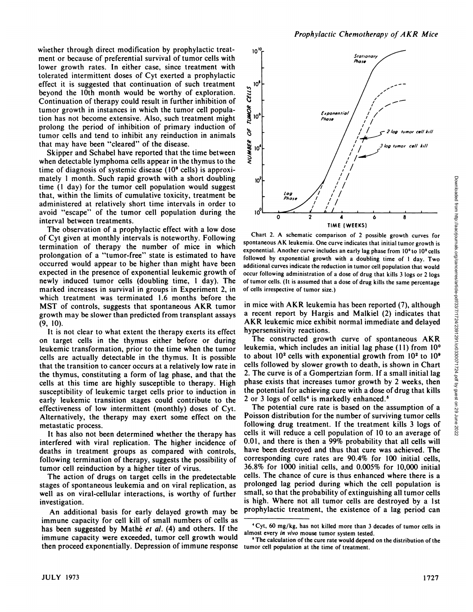whether through direct modification by prophylactic treatment or because of preferential survival of tumor cells with lower growth rates. In either case, since treatment with tolerated intermittent doses of Cyt exerted a prophylactic effect it is suggested that continuation of such treatment<br>beyond the 10th month would be worthy of exploration.<br>Continuation of therapy could result in further inhibition of beyond the 10th month would be worthy of exploration. Continuation of therapy could result in further inhibition of<br>tumor growth in instances in which the tumor cell popula-<br>tion has not become extensive. Also, such treatment might tumor growth in instances in which the tumor cell popula tion has not become extensive. Also, such treatment might prolong the period of inhibition of primary induction of  $\int_{0}^{\infty}$ <br>tumor cells and tend to inhibit any reinduction in animals tumor cells and tend to inhibit any reinduction in animals that may have been "cleared" of the disease.<br>Skinner and Schabel have renorted that the time between

Skipper and Schabel have reported that the time between when detectable lymphoma cells appear in the thymus to the time of diagnosis of systemic disease (10<sup>°</sup> cells) is approximately 1 month. Such rapid growth with a short doubling time (1 day) for the tumor cell population would suggest that, within the limits of cumulative toxicity, treatment be administered at relatively short time intervals in order to avoid "escape" of the tumor cell population during the interval between treatments.

The observation of a prophylactic effect with a low dose of Cyt given at monthly intervals is noteworthy. Following termination of therapy the number of mice in which prolongation of <sup>a</sup> "tumor-free" state is estimated to have occurred would appear to be higher than might have been expected in the presence of exponential leukemic growth of newly induced tumor cells (doubling time, 1 day). The marked increases in survival in groups in Experiment 2, in which treatment was terminated 1.6 months before the MST of controls, suggests that spontaneous AKR tumor growth may be slower than predicted from transplant assays (9, 10).

It is not clear to what extent the therapy exerts its effect on target cells in the thymus either before or during leukemic transformation, prior to the time when the tumor cells are actually detectable in the thymus. It is possible that the transition to cancer occurs at a relatively low rate in the thymus, constituting a form of lag phase, and that the cells at this time are highly susceptible to therapy. High susceptibility of leukemic target cells prior to induction in early leukemic transition stages could contribute to the effectiveness of low intermittent (monthly) doses of Cyt. Alternatively, the therapy may exert some effect on the metastatic process.

It has also not been determined whether the therapy has interfered with viral replication. The higher incidence of deaths in treatment groups as compared with controls, following termination of therapy, suggests the possibility of tumor cell reinduction by a higher titer of virus.

The action of drugs on target cells in the predetectable stages of spontaneous leukemia and on viral replication, as well as on viral-cellular interactions, is worthy of further investigation.

An additional basis for early delayed growth may be immune capacity for cell kill of small numbers of cells as has been suggested by Mathé et al. (4) and others. If the Cyt, ou mg/kg, has not killed more than 3 of immune capacity were exceeded, tumor cell growth would then proceed exponentially. Depression of immune response



spontaneous AK leukemia. One curve indicates that initial tumor growth is exponential. Another curve includes an early lag phase from 10° to 10<sup>2</sup> cells followed by exponential growth with a doubling time of I day. Two additional curves indicate the reduction in tumor cell population that would occur following administration of a dose of drug that kills 3 logs or 2 logs of tumor cells. (It is assumed that a dose of drug kills the same percentage of cells irrespective of tumor size.)

in mice with AKR leukemia has been reported (7), although a recent report by Hargis and Malkiel (2) indicates that AKR leukemic mice exhibit normal immediate and delayed hypersensitivity reactions.

10<br>
Chart 2. A schematic comparison of 2 possible growth curves for the number of the number of the schematic comparison of 2 possible growth curves for other comparison. At leukemia. One curve indicates that initial tumo The constructed growth curve of spontaneous AKR leukemia, which includes an initial lag phase (11) from 10° to about  $10^2$  cells with exponential growth from  $10^2$  to  $10^9$ cells followed by slower growth to death, is shown in Chart 2. The curve is of a Gompertzian form. If a small initial lag phase exists that increases tumor growth by 2 weeks, then the potential for achieving cure with a dose of drug that kills 2 or 3 logs of cells<sup>4</sup> is markedly enhanced. $5$ 

The potential cure rate is based on the assumption of a Poisson distribution for the number of surviving tumor cells following drug treatment. If the treatment kills 3 logs of  $\frac{8}{88}$  cells it will reduce a cell population of 10 to an average of  $\frac{88}{88}$ cells it will reduce a cell population of 10 to an average of 0.01, and there is then a 99% probability that all cells will have been destroyed and thus that cure was achieved. The corresponding cure rates are 90.4% for 100 initial cells, 36.8% for 1000 initial cells, and 0.005% for 10,000 initial cells. The chance of cure is thus enhanced where there is a prolonged lag period during which the cell population is small, so that the probability of extinguishing all tumor cells is high. Where not all tumor cells are destroyed by a 1st prophylactic treatment, the existence of a lag period can

Downloaded from http://aacrjournals.org/cancerres/article-pdf/33/7/1724/2391291/cr0330071724.pdf by guest on 29 June 2022

<sup>\*</sup>Cyt, 60 mg/kg, has not killed more than 3 decades of tumor cells in

<sup>&</sup>lt;sup>5</sup> The calculation of the cure rate would depend on the distribution of the tumor cell population at the time of treatment.